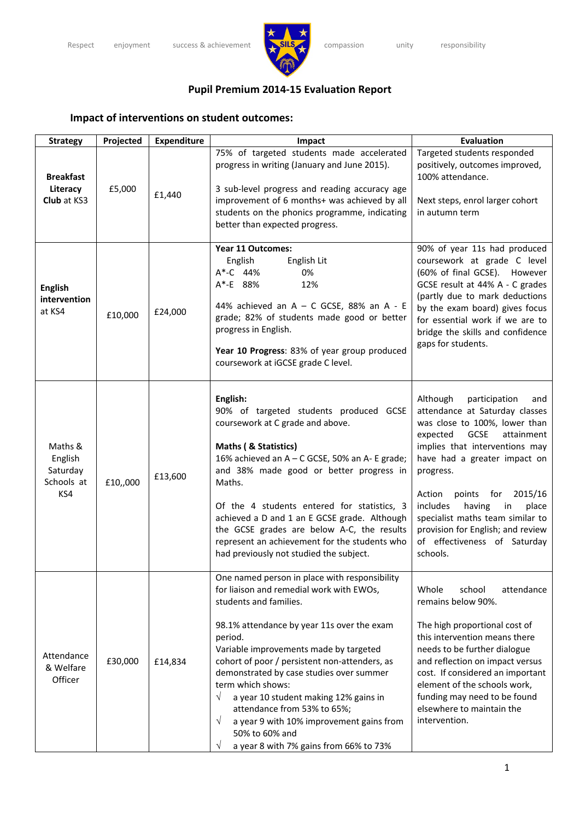

## **Pupil Premium 2014‐15 Evaluation Report**

## **Impact of interventions on student outcomes:**

| <b>Strategy</b>                                     | Projected | Expenditure | Impact                                                                                                                                                                                                                                                                                                                                                                                                                                                                                                                                                  | <b>Evaluation</b>                                                                                                                                                                                                                                                                                                                                                                                                           |
|-----------------------------------------------------|-----------|-------------|---------------------------------------------------------------------------------------------------------------------------------------------------------------------------------------------------------------------------------------------------------------------------------------------------------------------------------------------------------------------------------------------------------------------------------------------------------------------------------------------------------------------------------------------------------|-----------------------------------------------------------------------------------------------------------------------------------------------------------------------------------------------------------------------------------------------------------------------------------------------------------------------------------------------------------------------------------------------------------------------------|
| <b>Breakfast</b><br>Literacy<br>Club at KS3         | £5,000    | £1,440      | 75% of targeted students made accelerated<br>progress in writing (January and June 2015).<br>3 sub-level progress and reading accuracy age<br>improvement of 6 months+ was achieved by all<br>students on the phonics programme, indicating<br>better than expected progress.                                                                                                                                                                                                                                                                           | Targeted students responded<br>positively, outcomes improved,<br>100% attendance.<br>Next steps, enrol larger cohort<br>in autumn term                                                                                                                                                                                                                                                                                      |
| <b>English</b><br>intervention<br>at KS4            | £10,000   | £24,000     | <b>Year 11 Outcomes:</b><br>English<br>English Lit<br>$A^*$ -C 44%<br>0%<br>A*-E 88%<br>12%<br>44% achieved an $A - C$ GCSE, 88% an $A - E$<br>grade; 82% of students made good or better<br>progress in English.<br>Year 10 Progress: 83% of year group produced<br>coursework at iGCSE grade C level.                                                                                                                                                                                                                                                 | 90% of year 11s had produced<br>coursework at grade C level<br>(60% of final GCSE). However<br>GCSE result at 44% A - C grades<br>(partly due to mark deductions<br>by the exam board) gives focus<br>for essential work if we are to<br>bridge the skills and confidence<br>gaps for students.                                                                                                                             |
| Maths &<br>English<br>Saturday<br>Schools at<br>KS4 | £10,,000  | £13,600     | English:<br>90% of targeted students produced GCSE<br>coursework at C grade and above.<br><b>Maths (&amp; Statistics)</b><br>16% achieved an A - C GCSE, 50% an A- E grade;<br>and 38% made good or better progress in<br>Maths.<br>Of the 4 students entered for statistics, 3<br>achieved a D and 1 an E GCSE grade. Although<br>the GCSE grades are below A-C, the results<br>represent an achievement for the students who<br>had previously not studied the subject.                                                                               | Although<br>participation<br>and<br>attendance at Saturday classes<br>was close to 100%, lower than<br><b>GCSE</b><br>expected<br>attainment<br>implies that interventions may<br>have had a greater impact on<br>progress.<br>Action<br>points<br>for<br>2015/16<br>includes<br>having<br>place<br>in<br>specialist maths team similar to<br>provision for English; and review<br>of effectiveness of Saturday<br>schools. |
| Attendance<br>& Welfare<br>Officer                  | £30,000   | £14,834     | One named person in place with responsibility<br>for liaison and remedial work with EWOs,<br>students and families.<br>98.1% attendance by year 11s over the exam<br>period.<br>Variable improvements made by targeted<br>cohort of poor / persistent non-attenders, as<br>demonstrated by case studies over summer<br>term which shows:<br>$\sqrt{}$<br>a year 10 student making 12% gains in<br>attendance from 53% to 65%;<br>$\sqrt{}$<br>a year 9 with 10% improvement gains from<br>50% to 60% and<br>a year 8 with 7% gains from 66% to 73%<br>V | Whole<br>attendance<br>school<br>remains below 90%.<br>The high proportional cost of<br>this intervention means there<br>needs to be further dialogue<br>and reflection on impact versus<br>cost. If considered an important<br>element of the schools work,<br>funding may need to be found<br>elsewhere to maintain the<br>intervention.                                                                                  |